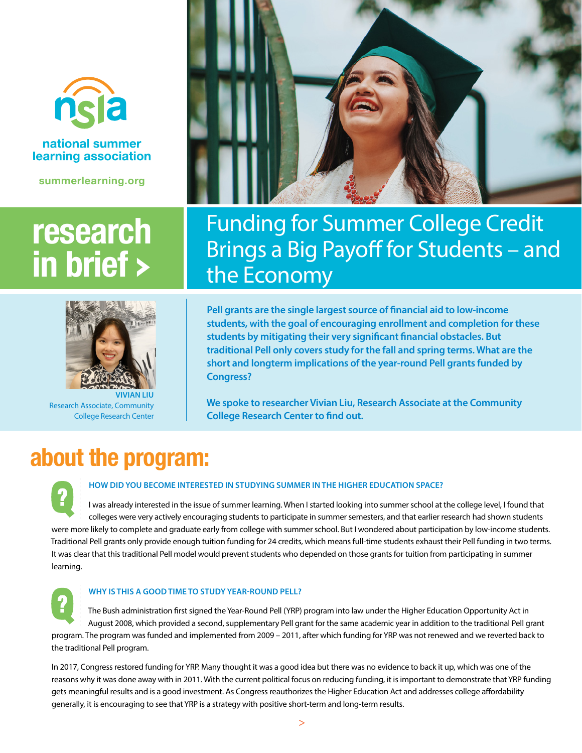

# national summer learning association

**summerlearning.org**

# **research in brief**



**VIVIAN LIU**  Research Associate, Community College Research Center



# Funding for Summer College Credit Brings a Big Payoff for Students – and the Economy

**Pell grants are the single largest source of financial aid to low-income students, with the goal of encouraging enrollment and completion for these students by mitigating their very significant financial obstacles. But traditional Pell only covers study for the fall and spring terms. What are the short and longterm implications of the year-round Pell grants funded by Congress?**

**We spoke to researcher Vivian Liu, Research Associate at the Community College Research Center to find out.**

# **about the program:**



## **HOW DID YOU BECOME INTERESTED IN STUDYING SUMMER IN THE HIGHER EDUCATION SPACE?**

I was already interested in the issue of summer learning. When I started looking into summer school at the college level, I found that colleges were very actively encouraging students to participate in summer semesters, and that earlier research had shown students were more likely to complete and graduate early from college with summer school. But I wondered about participation by low-income students. Traditional Pell grants only provide enough tuition funding for 24 credits, which means full-time students exhaust their Pell funding in two terms. It was clear that this traditional Pell model would prevent students who depended on those grants for tuition from participating in summer learning.



### **WHY IS THIS A GOOD TIME TO STUDY YEAR-ROUND PELL?**

The Bush administration first signed the Year-Round Pell (YRP) program into law under the Higher Education Opportunity Act in August 2008, which provided a second, supplementary Pell grant for the same academic year in addition to the traditional Pell grant program. The program was funded and implemented from 2009 – 2011, after which funding for YRP was not renewed and we reverted back to the traditional Pell program.

In 2017, Congress restored funding for YRP. Many thought it was a good idea but there was no evidence to back it up, which was one of the reasons why it was done away with in 2011. With the current political focus on reducing funding, it is important to demonstrate that YRP funding gets meaningful results and is a good investment. As Congress reauthorizes the Higher Education Act and addresses college affordability generally, it is encouraging to see that YRP is a strategy with positive short-term and long-term results.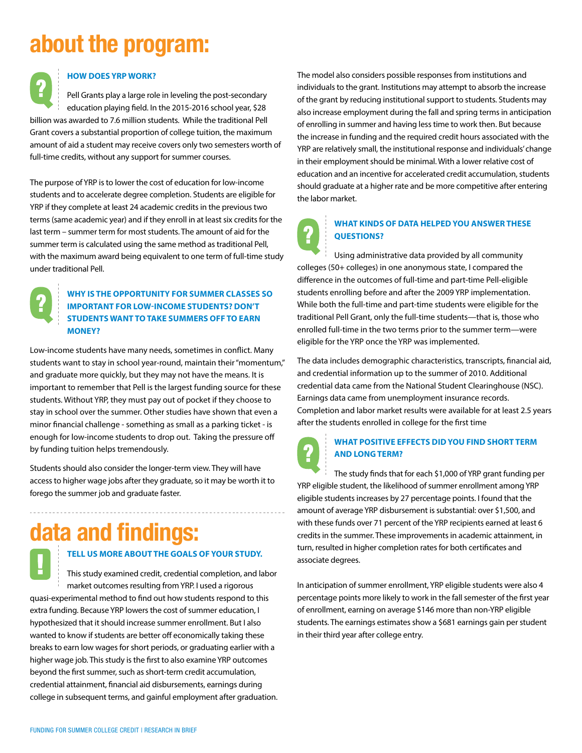# **about the program:**

### **HOW DOES YRP WORK?**

Pell Grants play a large role in leveling the post-secondary education playing field. In the 2015-2016 school year, \$28 billion was awarded to 7.6 million students. While the traditional Pell Grant covers a substantial proportion of college tuition, the maximum amount of aid a student may receive covers only two semesters worth of full-time credits, without any support for summer courses.

The purpose of YRP is to lower the cost of education for low-income students and to accelerate degree completion. Students are eligible for YRP if they complete at least 24 academic credits in the previous two terms (same academic year) and if they enroll in at least six credits for the last term – summer term for most students. The amount of aid for the summer term is calculated using the same method as traditional Pell, with the maximum award being equivalent to one term of full-time study under traditional Pell.



### **WHY IS THE OPPORTUNITY FOR SUMMER CLASSES SO IMPORTANT FOR LOW-INCOME STUDENTS? DON'T STUDENTS WANT TO TAKE SUMMERS OFF TO EARN MONEY?**

Low-income students have many needs, sometimes in conflict. Many students want to stay in school year-round, maintain their "momentum," and graduate more quickly, but they may not have the means. It is important to remember that Pell is the largest funding source for these students. Without YRP, they must pay out of pocket if they choose to stay in school over the summer. Other studies have shown that even a minor financial challenge - something as small as a parking ticket - is enough for low-income students to drop out. Taking the pressure off by funding tuition helps tremendously.

Students should also consider the longer-term view. They will have access to higher wage jobs after they graduate, so it may be worth it to forego the summer job and graduate faster.

# **data and findings:**

### **TELL US MORE ABOUT THE GOALS OF YOUR STUDY.**

This study examined credit, credential completion, and labor market outcomes resulting from YRP. I used a rigorous quasi-experimental method to find out how students respond to this extra funding. Because YRP lowers the cost of summer education, I hypothesized that it should increase summer enrollment. But I also wanted to know if students are better off economically taking these breaks to earn low wages for short periods, or graduating earlier with a higher wage job. This study is the first to also examine YRP outcomes beyond the first summer, such as short-term credit accumulation, credential attainment, financial aid disbursements, earnings during college in subsequent terms, and gainful employment after graduation. The model also considers possible responses from institutions and individuals to the grant. Institutions may attempt to absorb the increase of the grant by reducing institutional support to students. Students may also increase employment during the fall and spring terms in anticipation of enrolling in summer and having less time to work then. But because the increase in funding and the required credit hours associated with the YRP are relatively small, the institutional response and individuals' change in their employment should be minimal. With a lower relative cost of education and an incentive for accelerated credit accumulation, students should graduate at a higher rate and be more competitive after entering the labor market.

# **WHAT KINDS OF DATA HELPED YOU ANSWER THESE QUESTIONS?**

Using administrative data provided by all community colleges (50+ colleges) in one anonymous state, I compared the difference in the outcomes of full-time and part-time Pell-eligible students enrolling before and after the 2009 YRP implementation. While both the full-time and part-time students were eligible for the traditional Pell Grant, only the full-time students—that is, those who enrolled full-time in the two terms prior to the summer term—were eligible for the YRP once the YRP was implemented.

The data includes demographic characteristics, transcripts, financial aid, and credential information up to the summer of 2010. Additional credential data came from the National Student Clearinghouse (NSC). Earnings data came from unemployment insurance records. Completion and labor market results were available for at least 2.5 years after the students enrolled in college for the first time



## **WHAT POSITIVE EFFECTS DID YOU FIND SHORT TERM AND LONG TERM?**

The study finds that for each \$1,000 of YRP grant funding per YRP eligible student, the likelihood of summer enrollment among YRP eligible students increases by 27 percentage points. I found that the amount of average YRP disbursement is substantial: over \$1,500, and with these funds over 71 percent of the YRP recipients earned at least 6 credits in the summer. These improvements in academic attainment, in turn, resulted in higher completion rates for both certificates and associate degrees.

In anticipation of summer enrollment, YRP eligible students were also 4 percentage points more likely to work in the fall semester of the first year of enrollment, earning on average \$146 more than non-YRP eligible students. The earnings estimates show a \$681 earnings gain per student in their third year after college entry.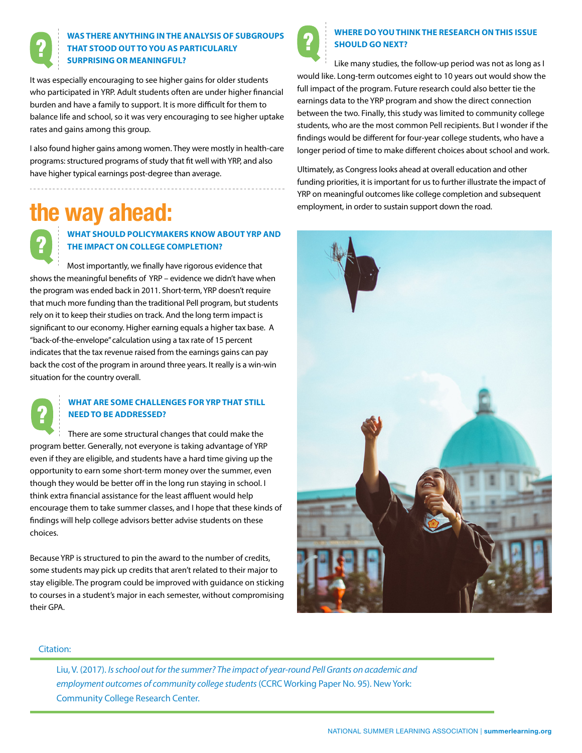

# **WAS THERE ANYTHING IN THE ANALYSIS OF SUBGROUPS THAT STOOD OUT TO YOU AS PARTICULARLY SURPRISING OR MEANINGFUL?**

It was especially encouraging to see higher gains for older students who participated in YRP. Adult students often are under higher financial burden and have a family to support. It is more difficult for them to balance life and school, so it was very encouraging to see higher uptake rates and gains among this group.

I also found higher gains among women. They were mostly in health-care programs: structured programs of study that fit well with YRP, and also have higher typical earnings post-degree than average.

# **the way ahead:**



# **WHAT SHOULD POLICYMAKERS KNOW ABOUT YRP AND THE IMPACT ON COLLEGE COMPLETION?**

Most importantly, we finally have rigorous evidence that shows the meaningful benefits of YRP – evidence we didn't have when the program was ended back in 2011. Short-term, YRP doesn't require that much more funding than the traditional Pell program, but students rely on it to keep their studies on track. And the long term impact is significant to our economy. Higher earning equals a higher tax base. A "back-of-the-envelope" calculation using a tax rate of 15 percent indicates that the tax revenue raised from the earnings gains can pay back the cost of the program in around three years. It really is a win-win situation for the country overall.

# **WHAT ARE SOME CHALLENGES FOR YRP THAT STILL NEED TO BE ADDRESSED?**

There are some structural changes that could make the program better. Generally, not everyone is taking advantage of YRP even if they are eligible, and students have a hard time giving up the opportunity to earn some short-term money over the summer, even though they would be better off in the long run staying in school. I think extra financial assistance for the least affluent would help encourage them to take summer classes, and I hope that these kinds of findings will help college advisors better advise students on these choices.

Because YRP is structured to pin the award to the number of credits, some students may pick up credits that aren't related to their major to stay eligible. The program could be improved with guidance on sticking to courses in a student's major in each semester, without compromising their GPA.



# **WHERE DO YOU THINK THE RESEARCH ON THIS ISSUE SHOULD GO NEXT?**

Like many studies, the follow-up period was not as long as I would like. Long-term outcomes eight to 10 years out would show the full impact of the program. Future research could also better tie the earnings data to the YRP program and show the direct connection between the two. Finally, this study was limited to community college students, who are the most common Pell recipients. But I wonder if the findings would be different for four-year college students, who have a longer period of time to make different choices about school and work.

Ultimately, as Congress looks ahead at overall education and other funding priorities, it is important for us to further illustrate the impact of YRP on meaningful outcomes like college completion and subsequent employment, in order to sustain support down the road.



## Citation:

Liu, V. (2017). *Is school out for the summer? The impact of year-round Pell Grants on academic and employment outcomes of community college students* (CCRC Working Paper No. 95). New York: Community College Research Center.